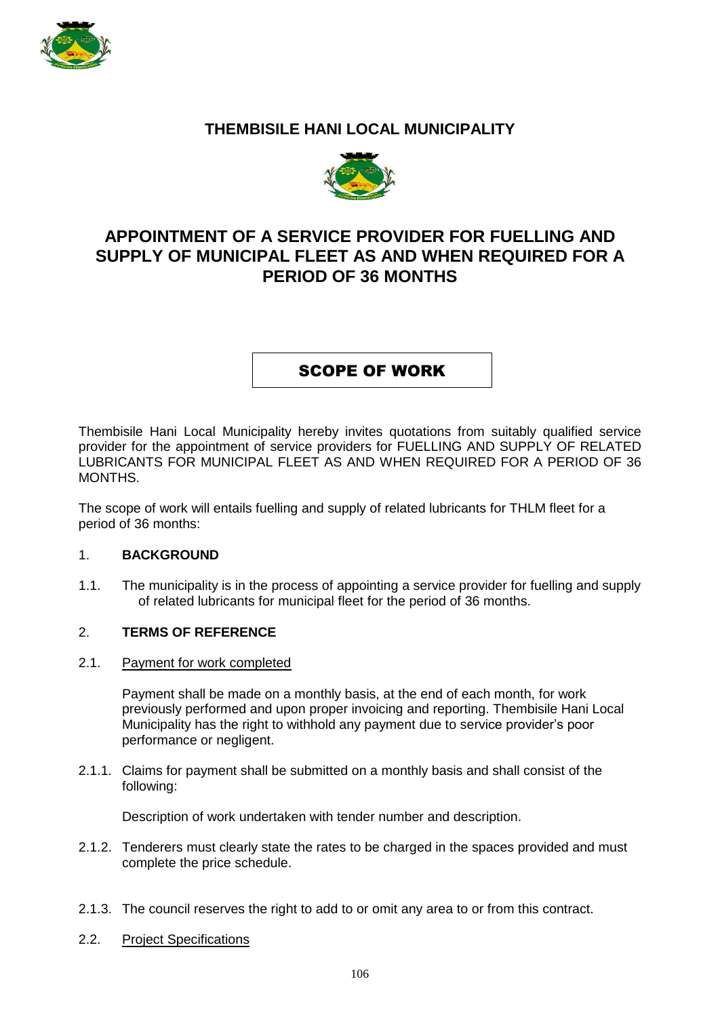

## **THEMBISILE HANI LOCAL MUNICIPALITY**



# **APPOINTMENT OF A SERVICE PROVIDER FOR FUELLING AND SUPPLY OF MUNICIPAL FLEET AS AND WHEN REQUIRED FOR A PERIOD OF 36 MONTHS**

SCOPE OF WORK

Thembisile Hani Local Municipality hereby invites quotations from suitably qualified service provider for the appointment of service providers for FUELLING AND SUPPLY OF RELATED LUBRICANTS FOR MUNICIPAL FLEET AS AND WHEN REQUIRED FOR A PERIOD OF 36 MONTHS.

The scope of work will entails fuelling and supply of related lubricants for THLM fleet for a period of 36 months:

### 1. **BACKGROUND**

1.1. The municipality is in the process of appointing a service provider for fuelling and supply of related lubricants for municipal fleet for the period of 36 months.

### 2. **TERMS OF REFERENCE**

2.1. Payment for work completed

Payment shall be made on a monthly basis, at the end of each month, for work previously performed and upon proper invoicing and reporting. Thembisile Hani Local Municipality has the right to withhold any payment due to service provider's poor performance or negligent.

2.1.1. Claims for payment shall be submitted on a monthly basis and shall consist of the following:

Description of work undertaken with tender number and description.

- 2.1.2. Tenderers must clearly state the rates to be charged in the spaces provided and must complete the price schedule.
- 2.1.3. The council reserves the right to add to or omit any area to or from this contract.
- 2.2. Project Specifications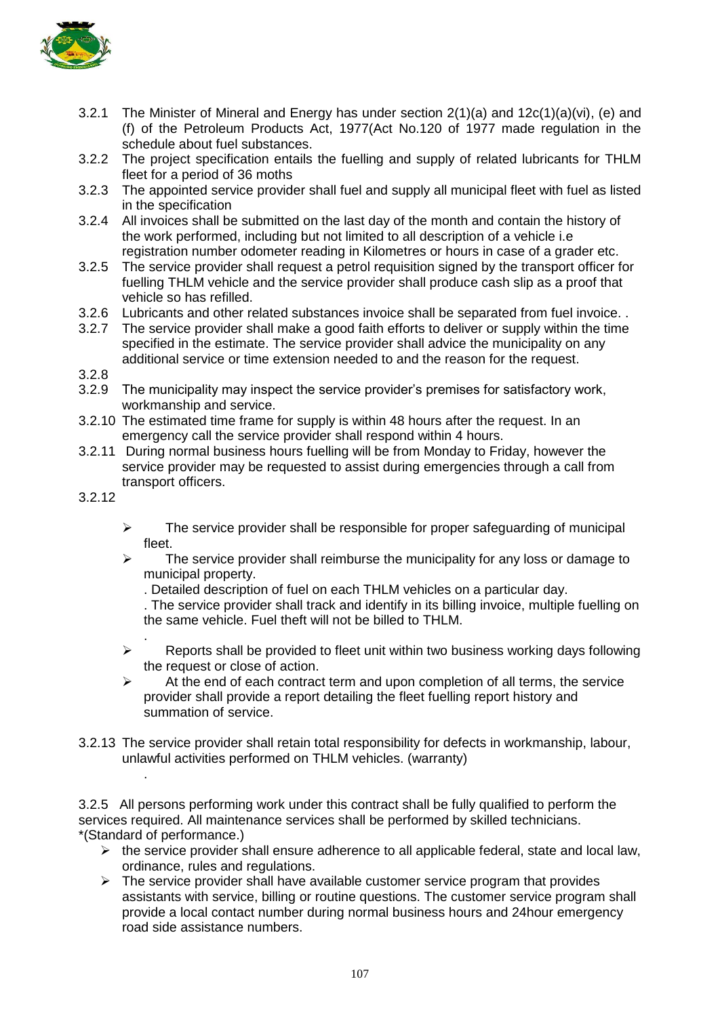

- 3.2.1 The Minister of Mineral and Energy has under section  $2(1)(a)$  and  $12c(1)(a)(vi)$ , (e) and (f) of the Petroleum Products Act, 1977(Act No.120 of 1977 made regulation in the schedule about fuel substances.
- 3.2.2 The project specification entails the fuelling and supply of related lubricants for THLM fleet for a period of 36 moths
- 3.2.3 The appointed service provider shall fuel and supply all municipal fleet with fuel as listed in the specification
- 3.2.4 All invoices shall be submitted on the last day of the month and contain the history of the work performed, including but not limited to all description of a vehicle i.e registration number odometer reading in Kilometres or hours in case of a grader etc.
- 3.2.5 The service provider shall request a petrol requisition signed by the transport officer for fuelling THLM vehicle and the service provider shall produce cash slip as a proof that vehicle so has refilled.
- 3.2.6 Lubricants and other related substances invoice shall be separated from fuel invoice. .
- 3.2.7 The service provider shall make a good faith efforts to deliver or supply within the time specified in the estimate. The service provider shall advice the municipality on any additional service or time extension needed to and the reason for the request.
- 3.2.8
- 3.2.9 The municipality may inspect the service provider's premises for satisfactory work, workmanship and service.
- 3.2.10 The estimated time frame for supply is within 48 hours after the request. In an emergency call the service provider shall respond within 4 hours.
- 3.2.11 During normal business hours fuelling will be from Monday to Friday, however the service provider may be requested to assist during emergencies through a call from transport officers.
- 3.2.12

.

- $\triangleright$  The service provider shall be responsible for proper safeguarding of municipal fleet.
- $\triangleright$  The service provider shall reimburse the municipality for any loss or damage to municipal property.
	- . Detailed description of fuel on each THLM vehicles on a particular day.

. The service provider shall track and identify in its billing invoice, multiple fuelling on the same vehicle. Fuel theft will not be billed to THLM.

- .  $\triangleright$  Reports shall be provided to fleet unit within two business working days following the request or close of action.
- $\triangleright$  At the end of each contract term and upon completion of all terms, the service provider shall provide a report detailing the fleet fuelling report history and summation of service.
- 3.2.13 The service provider shall retain total responsibility for defects in workmanship, labour, unlawful activities performed on THLM vehicles. (warranty)

3.2.5 All persons performing work under this contract shall be fully qualified to perform the services required. All maintenance services shall be performed by skilled technicians. \*(Standard of performance.)

- $\triangleright$  the service provider shall ensure adherence to all applicable federal, state and local law, ordinance, rules and regulations.
- $\triangleright$  The service provider shall have available customer service program that provides assistants with service, billing or routine questions. The customer service program shall provide a local contact number during normal business hours and 24hour emergency road side assistance numbers.